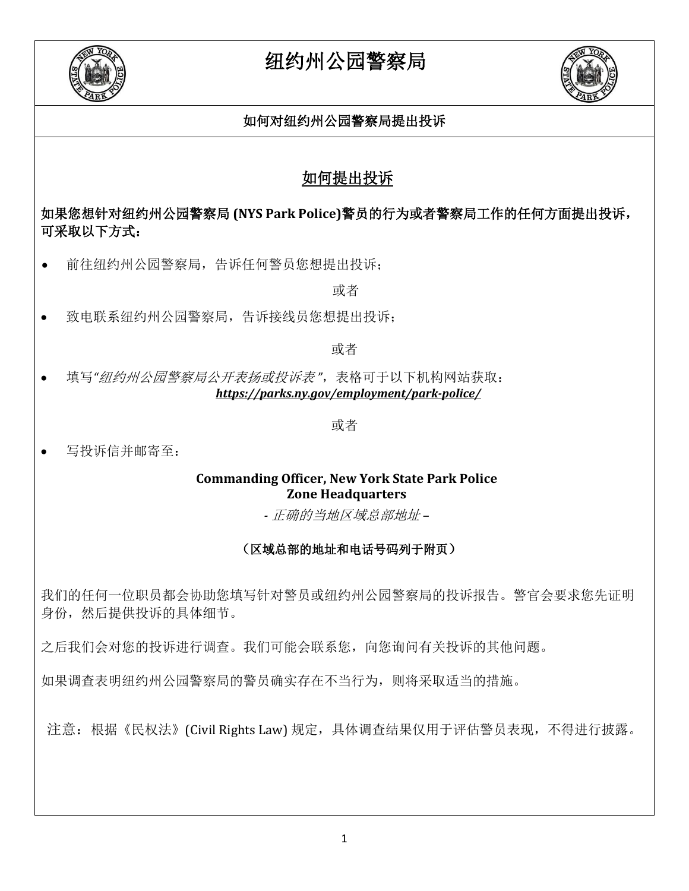

# 纽约州公园警察局



## 如何对纽约州公园警察局提出投诉

## 如何提出投诉

如果您想针对纽约州公园警察局 **(NYS Park Police)**警员的行为或者警察局工作的任何方面提出投诉, 可采取以下方式:

• 前往纽约州公园警察局,告诉任何警员您想提出投诉;

或者

• 致电联系纽约州公园警察局,告诉接线员您想提出投诉;

或者

• 填写*"*纽约州公园警察局公开表扬或投诉表 *"*,表格可于以下机构网站获取: *https://parks.ny.gov/employment/park-police/*

或者

• 写投诉信并邮寄至:

### **Commanding Officer, New York State Park Police Zone Headquarters**

*-* 正确的当地区域总部地址 *–*

### (区域总部的地址和电话号码列于附页)

我们的任何一位职员都会协助您填写针对警员或纽约州公园警察局的投诉报告。警官会要求您先证明 身份,然后提供投诉的具体细节。

之后我们会对您的投诉进行调查。我们可能会联系您,向您询问有关投诉的其他问题。

如果调查表明纽约州公园警察局的警员确实存在不当行为,则将采取适当的措施。

注意: 根据《民权法》(Civil Rights Law) 规定,具体调查结果仅用于评估警员表现,不得进行披露。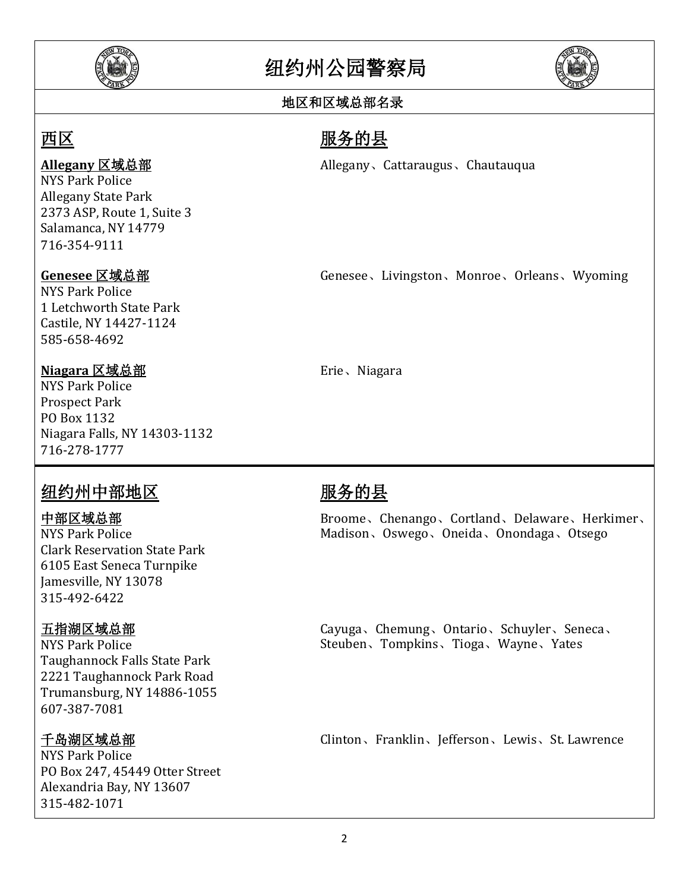

# 纽约州公园警察局



## 地区和区域总部名录

## 西区 西区 医心包的 医多的县

**Allegany 区域总部** Allegany、Cattaraugus、Chautauqua

**Genesee 区域总部** Genesee、Livingston、Monroe、Orleans、Wyoming

NYS Park Police 1 Letchworth State Park Castile, NY 14427-1124 585-658-4692

2373 ASP, Route 1, Suite 3 Salamanca, NY 14779

## **Niagara 区域总部** The Controllering Erie、Niagara

NYS Park Police Allegany State Park

716-354-9111

NYS Park Police Prospect Park PO Box 1132 Niagara Falls, NY 14303-1132 716-278-1777

## 纽约州中部地区 不可以 机务的县

Clark Reservation State Park 6105 East Seneca Turnpike Jamesville, NY 13078 315-492-6422

Taughannock Falls State Park 2221 Taughannock Park Road Trumansburg, NY 14886-1055 607-387-7081

NYS Park Police PO Box 247, 45449 Otter Street Alexandria Bay, NY 13607 315-482-1071

<u>中部区域总部</u><br>NYS Park Police Broome、Chenango、Cortland、Delaware、Herkimer、<br>Madison、Oswego、Oneida、Onondaga、Otsego Madison、Oswego、Oneida、Onondaga、Otsego

五指湖区域总部<br>NYS Park Police Fast Face Reading Strutus Cayuga、Chemung、Ontario、Schuyler、Seneca、<br>Steuben、Tompkins、Tioga、Wayne、Yates Steuben、Tompkins、Tioga、Wayne、Yates

千岛湖区域总部 Clinton、Franklin、Jefferson、Lewis、St. Lawrence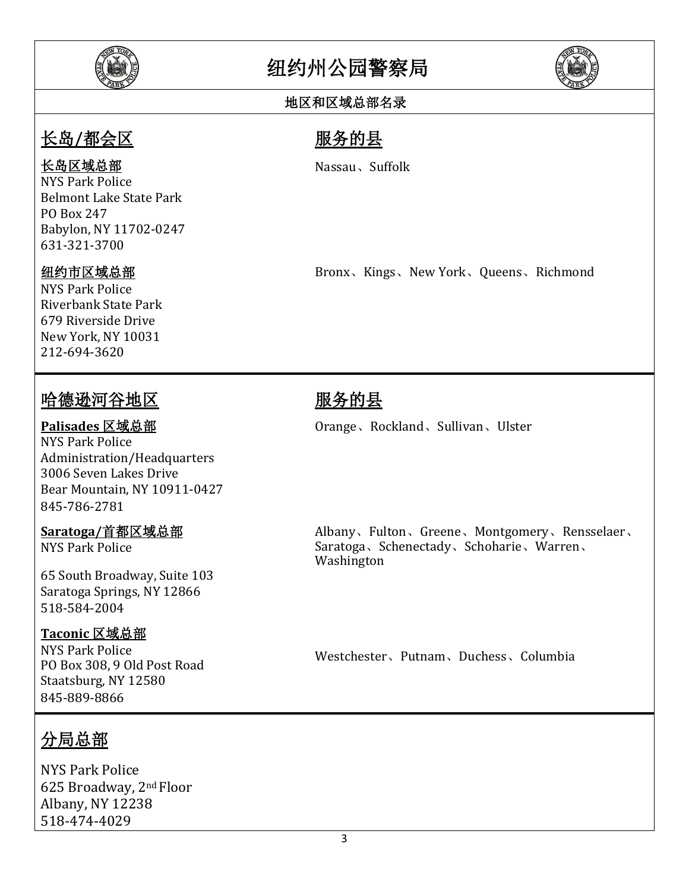

Belmont Lake State Park

Babylon, NY 11702-0247

# 纽约州公园警察局



## 地区和区域总部名录

## 长岛/都会区 **Machang Machain** 服务的县

Nassau、Suffolk

Bronx、Kings、New York、Queens、Richmond

## 纽约市区域总部

631-321-3700

长岛区域总部 NYS Park Police

PO Box 247

NYS Park Police Riverbank State Park 679 Riverside Drive New York, NY 10031 212-694-3620

## <u>哈德逊河谷地区</u> 视频 机电子 机化合成

NYS Park Police Administration/Headquarters 3006 Seven Lakes Drive Bear Mountain, NY 10911-0427 845-786-2781

NYS Park Police

65 South Broadway, Suite 103 Saratoga Springs, NY 12866 518-584-2004

## **Taconic** 区域总部

NYS Park Police<br>PO Box 308, 9 Old Post Road Staatsburg, NY 12580 845-889-8866

**Palisades** 区域总部 **Orange、Rockland、Sullivan、Ulster** 

**Saratoga/首都区域总部 Albany、Fulton、Greene、Montgomery、Rensselaer、** Saratoga、Schenectady、Schoharie、Warren、 Washington

Westchester、Putnam、Duchess、Columbia

## 分局总部

NYS Park Police 625 Broadway, 2nd Floor Albany, NY 12238 518-474-4029